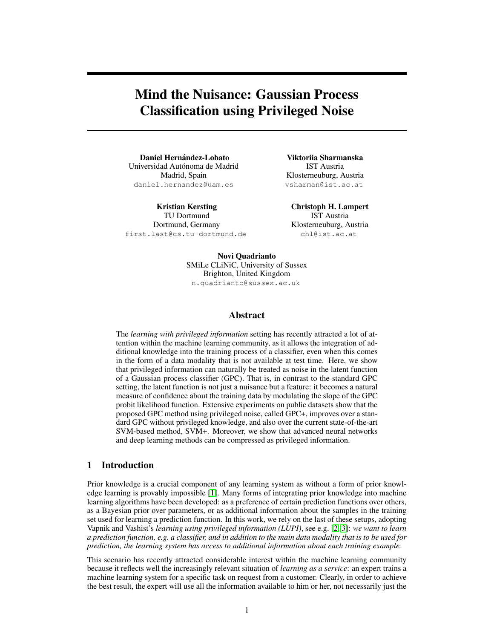# Mind the Nuisance: Gaussian Process Classification using Privileged Noise

Daniel Hernández-Lobato Universidad Autónoma de Madrid Madrid, Spain daniel.hernandez@uam.es

Kristian Kersting TU Dortmund Dortmund, Germany first.last@cs.tu-dortmund.de

Viktoriia Sharmanska IST Austria Klosterneuburg, Austria vsharman@ist.ac.at

Christoph H. Lampert IST Austria Klosterneuburg, Austria chl@ist.ac.at

Novi Quadrianto SMiLe CLiNiC, University of Sussex Brighton, United Kingdom n.quadrianto@sussex.ac.uk

### Abstract

The *learning with privileged information* setting has recently attracted a lot of attention within the machine learning community, as it allows the integration of additional knowledge into the training process of a classifier, even when this comes in the form of a data modality that is not available at test time. Here, we show that privileged information can naturally be treated as noise in the latent function of a Gaussian process classifier (GPC). That is, in contrast to the standard GPC setting, the latent function is not just a nuisance but a feature: it becomes a natural measure of confidence about the training data by modulating the slope of the GPC probit likelihood function. Extensive experiments on public datasets show that the proposed GPC method using privileged noise, called GPC+, improves over a standard GPC without privileged knowledge, and also over the current state-of-the-art SVM-based method, SVM+. Moreover, we show that advanced neural networks and deep learning methods can be compressed as privileged information.

# 1 Introduction

Prior knowledge is a crucial component of any learning system as without a form of prior knowledge learning is provably impossible [1]. Many forms of integrating prior knowledge into machine learning algorithms have been developed: as a preference of certain prediction functions over others, as a Bayesian prior over parameters, or as additional information about the samples in the training set used for learning a prediction function. In this work, we rely on the last of these setups, adopting Vapnik and Vashist's *learning using privileged information (LUPI)*, see e.g. [2, 3]: *we want to learn a prediction function, e.g. a classifier, and in addition to the main data modality that is to be used for prediction, the learning system has access to additional information about each training example.*

This scenario has recently attracted considerable interest within the machine learning community because it reflects well the increasingly relevant situation of *learning as a service*: an expert trains a machine learning system for a specific task on request from a customer. Clearly, in order to achieve the best result, the expert will use all the information available to him or her, not necessarily just the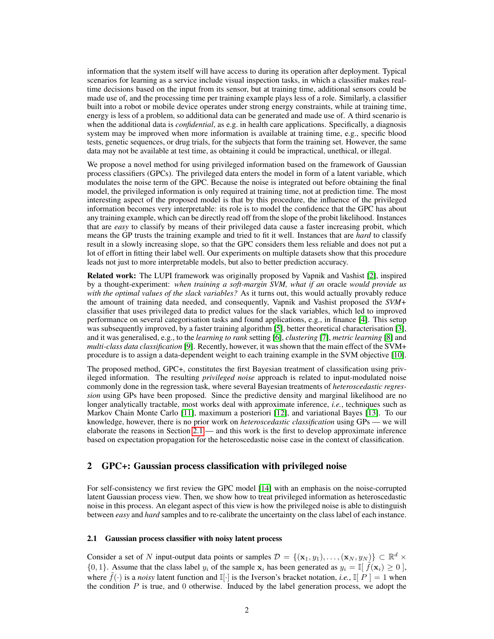information that the system itself will have access to during its operation after deployment. Typical scenarios for learning as a service include visual inspection tasks, in which a classifier makes realtime decisions based on the input from its sensor, but at training time, additional sensors could be made use of, and the processing time per training example plays less of a role. Similarly, a classifier built into a robot or mobile device operates under strong energy constraints, while at training time, energy is less of a problem, so additional data can be generated and made use of. A third scenario is when the additional data is *confidential*, as e.g. in health care applications. Specifically, a diagnosis system may be improved when more information is available at training time, e.g., specific blood tests, genetic sequences, or drug trials, for the subjects that form the training set. However, the same data may not be available at test time, as obtaining it could be impractical, unethical, or illegal.

We propose a novel method for using privileged information based on the framework of Gaussian process classifiers (GPCs). The privileged data enters the model in form of a latent variable, which modulates the noise term of the GPC. Because the noise is integrated out before obtaining the final model, the privileged information is only required at training time, not at prediction time. The most interesting aspect of the proposed model is that by this procedure, the influence of the privileged information becomes very interpretable: its role is to model the confidence that the GPC has about any training example, which can be directly read off from the slope of the probit likelihood. Instances that are *easy* to classify by means of their privileged data cause a faster increasing probit, which means the GP trusts the training example and tried to fit it well. Instances that are *hard* to classify result in a slowly increasing slope, so that the GPC considers them less reliable and does not put a lot of effort in fitting their label well. Our experiments on multiple datasets show that this procedure leads not just to more interpretable models, but also to better prediction accuracy.

Related work: The LUPI framework was originally proposed by Vapnik and Vashist [2], inspired by a thought-experiment: *when training a soft-margin SVM, what if an* oracle *would provide us with the optimal values of the slack variables?* As it turns out, this would actually provably reduce the amount of training data needed, and consequently, Vapnik and Vashist proposed the *SVM+* classifier that uses privileged data to predict values for the slack variables, which led to improved performance on several categorisation tasks and found applications, e.g., in finance [4]. This setup was subsequently improved, by a faster training algorithm [5], better theoretical characterisation [3], and it was generalised, e.g., to the *learning to rank* setting [6], *clustering* [7], *metric learning* [8] and *multi-class data classification* [9]. Recently, however, it was shown that the main effect of the SVM+ procedure is to assign a data-dependent weight to each training example in the SVM objective [10].

The proposed method, GPC+, constitutes the first Bayesian treatment of classification using privileged information. The resulting *privileged noise* approach is related to input-modulated noise commonly done in the regression task, where several Bayesian treatments of *heteroscedastic regression* using GPs have been proposed. Since the predictive density and marginal likelihood are no longer analytically tractable, most works deal with approximate inference, *i.e.*, techniques such as Markov Chain Monte Carlo [11], maximum a posteriori [12], and variational Bayes [13]. To our knowledge, however, there is no prior work on *heteroscedastic classification* using GPs — we will elaborate the reasons in Section 2.1 — and this work is the first to develop approximate inference based on expectation propagation for the heteroscedastic noise case in the context of classification.

# 2 GPC+: Gaussian process classification with privileged noise

For self-consistency we first review the GPC model [14] with an emphasis on the noise-corrupted latent Gaussian process view. Then, we show how to treat privileged information as heteroscedastic noise in this process. An elegant aspect of this view is how the privileged noise is able to distinguish between *easy* and *hard* samples and to re-calibrate the uncertainty on the class label of each instance.

#### 2.1 Gaussian process classifier with noisy latent process

Consider a set of N input-output data points or samples  $\mathcal{D} = \{(\mathbf{x}_1, y_1), \dots, (\mathbf{x}_N, y_N)\} \subset \mathbb{R}^d \times$  $\{0, 1\}$ . Assume that the class label  $y_i$  of the sample  $x_i$  has been generated as  $y_i = \mathbb{I}[\tilde{f}(x_i) \ge 0]$ , where  $\hat{f}(\cdot)$  is a *noisy* latent function and  $\mathbb{I}[\cdot]$  is the Iverson's bracket notation, *i.e.*,  $\mathbb{I}[P] = 1$  when the condition  $P$  is true, and 0 otherwise. Induced by the label generation process, we adopt the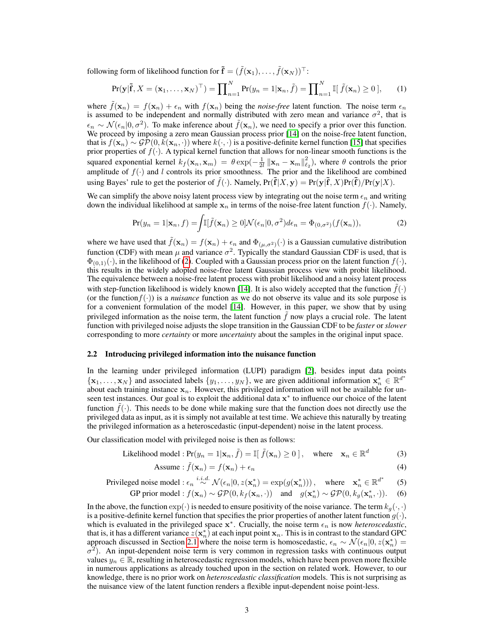following form of likelihood function for  $\mathbf{\tilde{f}} = (\tilde{f}(\mathbf{x}_1), \dots, \tilde{f}(\mathbf{x}_N))^{\top}$ :

$$
\Pr(\mathbf{y}|\tilde{\mathbf{f}}, X = (\mathbf{x}_1, \dots, \mathbf{x}_N)^\top) = \prod_{n=1}^N \Pr(y_n = 1 | \mathbf{x}_n, \tilde{f}) = \prod_{n=1}^N \mathbb{I}[\tilde{f}(\mathbf{x}_n) \ge 0], \qquad (1)
$$

where  $\tilde{f}(\mathbf{x}_n) = f(\mathbf{x}_n) + \epsilon_n$  with  $f(\mathbf{x}_n)$  being the *noise-free* latent function. The noise term  $\epsilon_n$ is assumed to be independent and normally distributed with zero mean and variance  $\sigma^2$ , that is  $\epsilon_n \sim \mathcal{N}(\epsilon_n | 0, \sigma^2)$ . To make inference about  $\tilde{f}(\mathbf{x}_n)$ , we need to specify a prior over this function. We proceed by imposing a zero mean Gaussian process prior [14] on the noise-free latent function, that is  $f(\mathbf{x}_n) \sim \mathcal{GP}(0, k(\mathbf{x}_n, \cdot))$  where  $k(\cdot, \cdot)$  is a positive-definite kernel function [15] that specifies prior properties of  $f(\cdot)$ . A typical kernel function that allows for non-linear smooth functions is the squared exponential kernel  $k_f(\mathbf{x}_n, \mathbf{x}_m) = \theta \exp(-\frac{1}{2l} ||\mathbf{x}_n - \mathbf{x}_m||_{\ell_2}^2)$ , where  $\theta$  controls the prior amplitude of  $f(\cdot)$  and l controls its prior smoothness. The prior and the likelihood are combined using Bayes' rule to get the posterior of  $\tilde{f}(\cdot)$ . Namely,  $Pr(\tilde{f}|X, y) = Pr(y|\tilde{f}, X)Pr(\tilde{f})/Pr(y|X)$ .

We can simplify the above noisy latent process view by integrating out the noise term  $\epsilon_n$  and writing down the individual likelihood at sample  $x_n$  in terms of the noise-free latent function  $f(.)$ . Namely,

$$
\Pr(y_n = 1 | \mathbf{x}_n, f) = \int \mathbb{I}[\tilde{f}(\mathbf{x}_n) \ge 0] \mathcal{N}(\epsilon_n | 0, \sigma^2) d\epsilon_n = \Phi_{(0, \sigma^2)}(f(\mathbf{x}_n)),\tag{2}
$$

where we have used that  $\hat{f}(\mathbf{x}_n) = f(\mathbf{x}_n) + \epsilon_n$  and  $\Phi_{(\mu,\sigma^2)}(\cdot)$  is a Gaussian cumulative distribution function (CDF) with mean  $\mu$  and variance  $\sigma^2$ . Typically the standard Gaussian CDF is used, that is  $\Phi_{(0,1)}(\cdot)$ , in the likelihood of (2). Coupled with a Gaussian process prior on the latent function  $f(\cdot)$ , this results in the widely adopted noise-free latent Gaussian process view with probit likelihood. The equivalence between a noise-free latent process with probit likelihood and a noisy latent process with step-function likelihood is widely known [14]. It is also widely accepted that the function  $f(\cdot)$ (or the function  $f(\cdot)$ ) is a *nuisance* function as we do not observe its value and its sole purpose is for a convenient formulation of the model [14]. However, in this paper, we show that by using privileged information as the noise term, the latent function  $\hat{f}$  now plays a crucial role. The latent function with privileged noise adjusts the slope transition in the Gaussian CDF to be *faster* or *slower* corresponding to more *certainty* or more *uncertainty* about the samples in the original input space.

#### 2.2 Introducing privileged information into the nuisance function

In the learning under privileged information (LUPI) paradigm [2], besides input data points  $\{x_1, \ldots, x_N\}$  and associated labels  $\{y_1, \ldots, y_N\}$ , we are given additional information  $x_n^* \in \mathbb{R}^{d^*}$ about each training instance  $x_n$ . However, this privileged information will not be available for unseen test instances. Our goal is to exploit the additional data  $x^*$  to influence our choice of the latent function  $f(\cdot)$ . This needs to be done while making sure that the function does not directly use the privileged data as input, as it is simply not available at test time. We achieve this naturally by treating the privileged information as a heteroscedastic (input-dependent) noise in the latent process.

Our classification model with privileged noise is then as follows:

Likelihood model : 
$$
Pr(y_n = 1 | \mathbf{x}_n, \tilde{f}) = \mathbb{I}[\tilde{f}(\mathbf{x}_n) \ge 0],
$$
 where  $\mathbf{x}_n \in \mathbb{R}^d$  (3)

Assume: 
$$
\tilde{f}(\mathbf{x}_n) = f(\mathbf{x}_n) + \epsilon_n
$$
 (4)

Privileged noise model: 
$$
\epsilon_n \stackrel{i.i.d.}{\sim} \mathcal{N}(\epsilon_n | 0, z(\mathbf{x}_n^*) = \exp(g(\mathbf{x}_n^*)))
$$
, where  $\mathbf{x}_n^* \in \mathbb{R}^{d^*}$  (5)

\nGP prior model:  $f(\mathbf{x}_n) \sim \mathcal{GP}(0, k_f(\mathbf{x}_n, \cdot))$  and  $g(\mathbf{x}_n^*) \sim \mathcal{GP}(0, k_g(\mathbf{x}_n^*, \cdot))$ .

In the above, the function  $\exp(\cdot)$  is needed to ensure positivity of the noise variance. The term  $k_g(\cdot, \cdot)$ is a positive-definite kernel function that specifies the prior properties of another latent function  $g(\cdot)$ , which is evaluated in the privileged space  $x^*$ . Crucially, the noise term  $\epsilon_n$  is now *heteroscedastic*, that is, it has a different variance  $z(\mathbf{x}_n^*)$  at each input point  $\mathbf{x}_n$ . This is in contrast to the standard GPC approach discussed in Section 2.1 where the noise term is homoscedastic,  $\epsilon_n \sim \mathcal{N}(\epsilon_n | 0, z(\mathbf{x}_n^*) =$  $\sigma^2$ ). An input-dependent noise term is very common in regression tasks with continuous output values  $y_n \in \mathbb{R}$ , resulting in heteroscedastic regression models, which have been proven more flexible in numerous applications as already touched upon in the section on related work. However, to our knowledge, there is no prior work on *heteroscedastic classification* models. This is not surprising as the nuisance view of the latent function renders a flexible input-dependent noise point-less.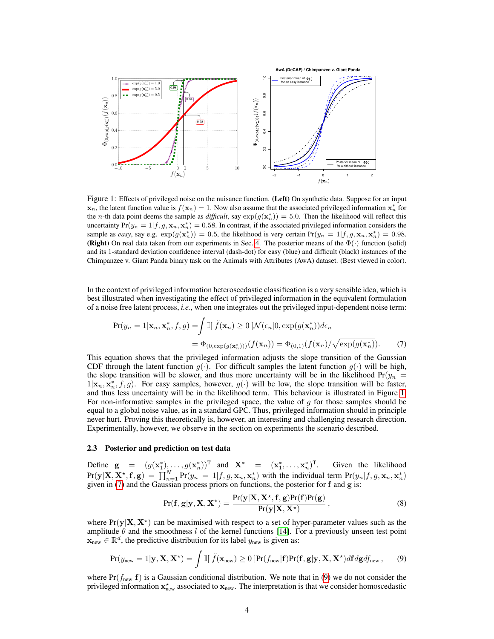

Figure 1: Effects of privileged noise on the nuisance function. (Left) On synthetic data. Suppose for an input  $\mathbf{x}_n$ , the latent function value is  $f(\mathbf{x}_n) = 1$ . Now also assume that the associated privileged information  $\mathbf{x}_n^*$  for the *n*-th data point deems the sample as *difficult*, say  $exp(g(\mathbf{x}_n^*)) = 5.0$ . Then the likelihood will reflect this uncertainty  $Pr(y_n = 1 | f, g, \mathbf{x}_n, \mathbf{x}_n^*) = 0.58$ . In contrast, if the associated privileged information considers the sample as *easy*, say e.g.  $\exp(g(\mathbf{x}_n^*)) = 0.5$ , the likelihood is very certain  $Pr(y_n = 1 | f, g, \mathbf{x}_n, \mathbf{x}_n^*) = 0.98$ . (Right) On real data taken from our experiments in Sec. 4. The posterior means of the  $\Phi(\cdot)$  function (solid) and its 1-standard deviation confidence interval (dash-dot) for easy (blue) and difficult (black) instances of the Chimpanzee v. Giant Panda binary task on the Animals with Attributes (AwA) dataset. (Best viewed in color).

In the context of privileged information heteroscedastic classification is a very sensible idea, which is best illustrated when investigating the effect of privileged information in the equivalent formulation of a noise free latent process, *i.e.*, when one integrates out the privileged input-dependent noise term:

$$
\Pr(y_n = 1 | \mathbf{x}_n, \mathbf{x}_n^*, f, g) = \int \mathbb{I}[\ \tilde{f}(\mathbf{x}_n) \ge 0 \ ] \mathcal{N}(\epsilon_n | 0, \exp(g(\mathbf{x}_n^*)) d\epsilon_n
$$

$$
= \Phi_{(0, \exp(g(\mathbf{x}_n^*)))}(f(\mathbf{x}_n)) = \Phi_{(0,1)}(f(\mathbf{x}_n) / \sqrt{\exp(g(\mathbf{x}_n^*)}). \tag{7}
$$

This equation shows that the privileged information adjusts the slope transition of the Gaussian CDF through the latent function  $g(\cdot)$ . For difficult samples the latent function  $g(\cdot)$  will be high, the slope transition will be slower, and thus more uncertainty will be in the likelihood  $Pr(y_n =$  $1|\mathbf{x}_n, \mathbf{x}_n^*, f, g$ . For easy samples, however,  $g(\cdot)$  will be low, the slope transition will be faster, and thus less uncertainty will be in the likelihood term. This behaviour is illustrated in Figure 1. For non-informative samples in the privileged space, the value of g for those samples should be equal to a global noise value, as in a standard GPC. Thus, privileged information should in principle never hurt. Proving this theoretically is, however, an interesting and challenging research direction. Experimentally, however, we observe in the section on experiments the scenario described.

#### 2.3 Posterior and prediction on test data

Define  $g = (g(\mathbf{x}_1^*), \dots, g(\mathbf{x}_n^*))^T$  and  $\mathbf{X}^* = (\mathbf{x}_1^*, \dots, \mathbf{x}_n^*)^T$ . Given the likelihood  $Pr(\mathbf{y}|\mathbf{X}, \mathbf{X}^*, \mathbf{f}, \mathbf{g}) = \prod_{n=1}^{N} Pr(y_n = 1 | f, g, \mathbf{x}_n, \mathbf{x}_n^*)$  with the individual term  $Pr(y_n | f, g, \mathbf{x}_n, \mathbf{x}_n^*)$ given in  $(7)$  and the Gaussian process priors on functions, the posterior for f and g is:

$$
Pr(\mathbf{f}, \mathbf{g} | \mathbf{y}, \mathbf{X}, \mathbf{X}^{\star}) = \frac{Pr(\mathbf{y} | \mathbf{X}, \mathbf{X}^{\star}, \mathbf{f}, \mathbf{g}) Pr(\mathbf{f}) Pr(\mathbf{g})}{Pr(\mathbf{y} | \mathbf{X}, \mathbf{X}^{\star})},
$$
(8)

where  $Pr(y|X, X^*)$  can be maximised with respect to a set of hyper-parameter values such as the amplitude  $\theta$  and the smoothness l of the kernel functions [14]. For a previously unseen test point  $\mathbf{x}_{\text{new}} \in \mathbb{R}^d$ , the predictive distribution for its label  $y_{\text{new}}$  is given as:

$$
Pr(y_{new} = 1 | \mathbf{y}, \mathbf{X}, \mathbf{X}^{\star}) = \int \mathbb{I}[\ \tilde{f}(\mathbf{x}_{new}) \ge 0 \ ] Pr(f_{new} | \mathbf{f}) Pr(\mathbf{f}, \mathbf{g} | \mathbf{y}, \mathbf{X}, \mathbf{X}^{\star}) d\mathbf{f} d\mathbf{g} df_{new}, \qquad (9)
$$

where  $Pr(f_{new}|\mathbf{f})$  is a Gaussian conditional distribution. We note that in (9) we do not consider the privileged information  $x_{\text{new}}^*$  associated to  $x_{\text{new}}$ . The interpretation is that we consider homoscedastic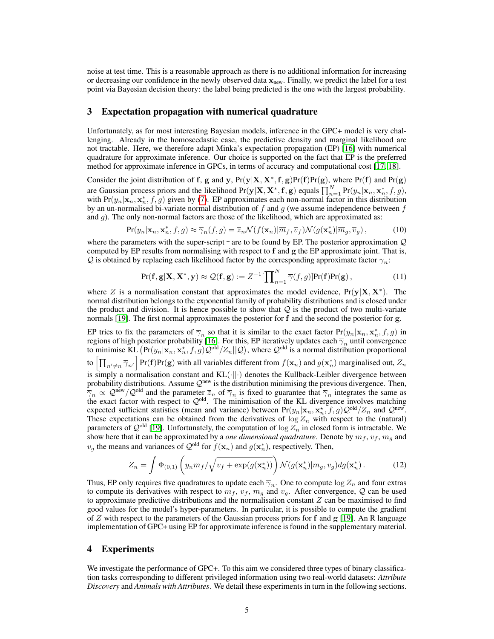noise at test time. This is a reasonable approach as there is no additional information for increasing or decreasing our confidence in the newly observed data  $x<sub>new</sub>$ . Finally, we predict the label for a test point via Bayesian decision theory: the label being predicted is the one with the largest probability.

#### 3 Expectation propagation with numerical quadrature

Unfortunately, as for most interesting Bayesian models, inference in the GPC+ model is very challenging. Already in the homoscedastic case, the predictive density and marginal likelihood are not tractable. Here, we therefore adapt Minka's expectation propagation (EP) [16] with numerical quadrature for approximate inference. Our choice is supported on the fact that EP is the preferred method for approximate inference in GPCs, in terms of accuracy and computational cost [17, 18].

Consider the joint distribution of f, g and y,  $Pr(y|X, X^*, f, g)Pr(f)Pr(g)$ , where  $Pr(f)$  and  $Pr(g)$ are Gaussian process priors and the likelihood  $Pr(y|X, X^*, f, g)$  equals  $\prod_{n=1}^{N} Pr(y_n | x_n, x_n^*, f, g)$ , with Pr( $y_n | \mathbf{x}_n, \mathbf{x}_n^*, f, g$ ) given by (7). EP approximates each non-normal factor in this distribution by an un-normalised bi-variate normal distribution of f and g (we assume independence between f and g). The only non-normal factors are those of the likelihood, which are approximated as:

$$
\Pr(y_n|\mathbf{x}_n, \mathbf{x}_n^*, f, g) \approx \overline{\gamma}_n(f, g) = \overline{z}_n \mathcal{N}(f(\mathbf{x}_n)|\overline{m}_f, \overline{v}_f) \mathcal{N}(g(\mathbf{x}_n^*)|\overline{m}_g, \overline{v}_g),\tag{10}
$$

where the parameters with the super-script  $\bar{z}$  are to be found by EP. The posterior approximation  $\mathcal{Q}$ computed by EP results from normalising with respect to  $f$  and  $g$  the EP approximate joint. That is, Q is obtained by replacing each likelihood factor by the corresponding approximate factor  $\overline{\gamma}_n$ :

$$
\Pr(\mathbf{f}, \mathbf{g} | \mathbf{X}, \mathbf{X}^*, \mathbf{y}) \approx \mathcal{Q}(\mathbf{f}, \mathbf{g}) := Z^{-1} [\prod_{n=1}^N \overline{\gamma}(f, g)] \Pr(\mathbf{f}) \Pr(\mathbf{g}), \tag{11}
$$

where Z is a normalisation constant that approximates the model evidence,  $Pr(y|X, X^*)$ . The normal distribution belongs to the exponential family of probability distributions and is closed under the product and division. It is hence possible to show that  $Q$  is the product of two multi-variate normals [19]. The first normal approximates the posterior for f and the second the posterior for g.

EP tries to fix the parameters of  $\overline{\gamma}_n$  so that it is similar to the exact factor  $Pr(y_n|\mathbf{x}_n, \mathbf{x}_n^*, f, g)$  in regions of high posterior probability [16]. For this, EP iteratively updates each  $\overline{\gamma}_n$  until convergence to minimise  $KL(Pr(y_n | \mathbf{x}_n, \mathbf{x}_n^*, f, g)Q^{\text{old}}/Z_n || Q)$ , where  $Q^{\text{old}}$  is a normal distribution proportional to  $\left[\prod_{n'\neq n}\overline\gamma_{n'}\right]$  Pr(f)Pr(g) with all variables different from  $f(\mathbf{x}_n)$  and  $g(\mathbf{x}_n^*)$  marginalised out,  $Z_n$ is simply a normalisation constant and  $KL(\cdot||\cdot)$  denotes the Kullback-Leibler divergence between probability distributions. Assume  $\mathcal{Q}^{\text{new}}$  is the distribution minimising the previous divergence. Then,  $\overline{\gamma}_n \propto \mathcal{Q}^{\text{new}}/\mathcal{Q}^{\text{old}}$  and the parameter  $\overline{z}_n$  of  $\overline{\gamma}_n$  is fixed to guarantee that  $\overline{\gamma}_n$  integrates the same as the exact factor with respect to  $Q^{old}$ . The minimisation of the KL divergence involves matching expected sufficient statistics (mean and variance) between  $Pr(y_n | \mathbf{x}_n, \mathbf{x}_n^*, f, g) Q^{\text{old}} / Z_n$  and  $Q^{\text{new}}$ . These expectations can be obtained from the derivatives of  $\log Z_n$  with respect to the (natural) parameters of  $\mathcal{Q}^{old}$  [19]. Unfortunately, the computation of  $\log Z_n$  in closed form is intractable. We show here that it can be approximated by a *one dimensional quadrature*. Denote by  $m_f$ ,  $v_f$ ,  $m_g$  and  $v_g$  the means and variances of  $\mathcal{Q}^{\text{old}}$  for  $f(\mathbf{x}_n)$  and  $g(\mathbf{x}_n^*)$ , respectively. Then,

$$
Z_n = \int \Phi_{(0,1)}\left(y_n m_f / \sqrt{v_f + \exp(g(\mathbf{x}_n^*))}\right) \mathcal{N}(g(\mathbf{x}_n^*) | m_g, v_g) dg(\mathbf{x}_n^*)\,. \tag{12}
$$

Thus, EP only requires five quadratures to update each  $\overline{\gamma}_n$ . One to compute log  $Z_n$  and four extras to compute its derivatives with respect to  $m_f$ ,  $v_f$ ,  $m_g$  and  $v_g$ . After convergence, Q can be used to approximate predictive distributions and the normalisation constant  $Z$  can be maximised to find good values for the model's hyper-parameters. In particular, it is possible to compute the gradient of  $Z$  with respect to the parameters of the Gaussian process priors for  $f$  and  $g$  [19]. An R language implementation of GPC+ using EP for approximate inference is found in the supplementary material.

#### 4 Experiments

We investigate the performance of GPC+. To this aim we considered three types of binary classification tasks corresponding to different privileged information using two real-world datasets: *Attribute Discovery* and *Animals with Attributes*. We detail these experiments in turn in the following sections.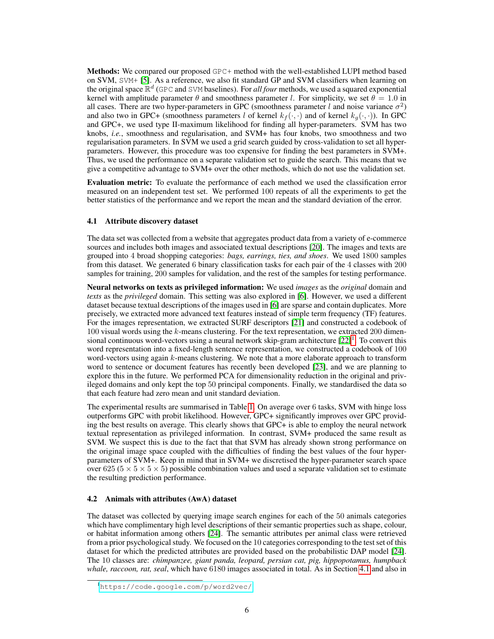Methods: We compared our proposed GPC+ method with the well-established LUPI method based on SVM, SVM+ [5]. As a reference, we also fit standard GP and SVM classifiers when learning on the original space  $\mathbb{R}^d$  (GPC and SVM baselines). For *all four* methods, we used a squared exponential kernel with amplitude parameter  $\theta$  and smoothness parameter l. For simplicity, we set  $\theta = 1.0$  in all cases. There are two hyper-parameters in GPC (smoothness parameter l and noise variance  $\sigma^2$ ) and also two in GPC+ (smoothness parameters l of kernel  $k_f(\cdot, \cdot)$  and of kernel  $k_q(\cdot, \cdot)$ ). In GPC and GPC+, we used type II-maximum likelihood for finding all hyper-parameters. SVM has two knobs, *i.e.*, smoothness and regularisation, and SVM+ has four knobs, two smoothness and two regularisation parameters. In SVM we used a grid search guided by cross-validation to set all hyperparameters. However, this procedure was too expensive for finding the best parameters in SVM+. Thus, we used the performance on a separate validation set to guide the search. This means that we give a competitive advantage to SVM+ over the other methods, which do not use the validation set.

Evaluation metric: To evaluate the performance of each method we used the classification error measured on an independent test set. We performed 100 repeats of all the experiments to get the better statistics of the performance and we report the mean and the standard deviation of the error.

### 4.1 Attribute discovery dataset

The data set was collected from a website that aggregates product data from a variety of e-commerce sources and includes both images and associated textual descriptions [20]. The images and texts are grouped into 4 broad shopping categories: *bags, earrings, ties, and shoes*. We used 1800 samples from this dataset. We generated 6 binary classification tasks for each pair of the 4 classes with 200 samples for training, 200 samples for validation, and the rest of the samples for testing performance.

Neural networks on texts as privileged information: We used *images* as the *original* domain and *texts* as the *privileged* domain. This setting was also explored in [6]. However, we used a different dataset because textual descriptions of the images used in [6] are sparse and contain duplicates. More precisely, we extracted more advanced text features instead of simple term frequency (TF) features. For the images representation, we extracted SURF descriptors [21] and constructed a codebook of 100 visual words using the k-means clustering. For the text representation, we extracted 200 dimensional continuous word-vectors using a neural network skip-gram architecture  $[22]^1$ . To convert this word representation into a fixed-length sentence representation, we constructed a codebook of 100 word-vectors using again  $k$ -means clustering. We note that a more elaborate approach to transform word to sentence or document features has recently been developed [23], and we are planning to explore this in the future. We performed PCA for dimensionality reduction in the original and privileged domains and only kept the top 50 principal components. Finally, we standardised the data so that each feature had zero mean and unit standard deviation.

The experimental results are summarised in Table 1. On average over 6 tasks, SVM with hinge loss outperforms GPC with probit likelihood. However, GPC+ significantly improves over GPC providing the best results on average. This clearly shows that GPC+ is able to employ the neural network textual representation as privileged information. In contrast, SVM+ produced the same result as SVM. We suspect this is due to the fact that that SVM has already shown strong performance on the original image space coupled with the difficulties of finding the best values of the four hyperparameters of SVM+. Keep in mind that in SVM+ we discretised the hyper-parameter search space over  $625 (5 \times 5 \times 5)$  possible combination values and used a separate validation set to estimate the resulting prediction performance.

#### 4.2 Animals with attributes (AwA) dataset

The dataset was collected by querying image search engines for each of the 50 animals categories which have complimentary high level descriptions of their semantic properties such as shape, colour, or habitat information among others [24]. The semantic attributes per animal class were retrieved from a prior psychological study. We focused on the 10 categories corresponding to the test set of this dataset for which the predicted attributes are provided based on the probabilistic DAP model [24]. The 10 classes are: *chimpanzee, giant panda, leopard, persian cat, pig, hippopotamus, humpback whale, raccoon, rat, seal*, which have 6180 images associated in total. As in Section 4.1 and also in

<sup>1</sup><https://code.google.com/p/word2vec/>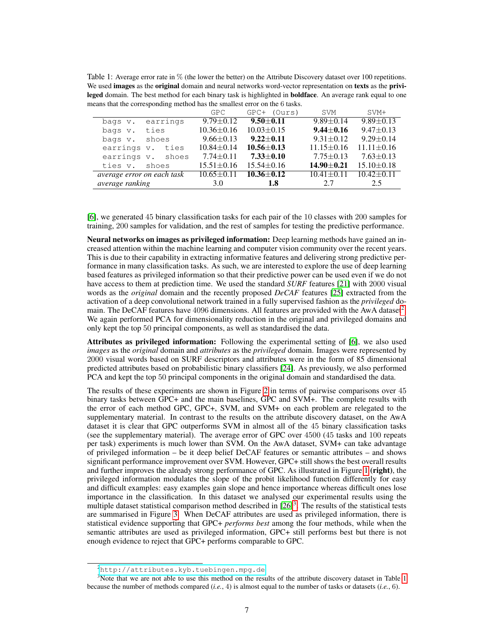Table 1: Average error rate in % (the lower the better) on the Attribute Discovery dataset over 100 repetitions. We used **images** as the **original** domain and neural networks word-vector representation on texts as the privileged domain. The best method for each binary task is highlighted in **boldface**. An average rank equal to one means that the corresponding method has the smallest error on the 6 tasks.

|                            | GPC.             | GPC+ (Ours)      | <b>SVM</b>       | $SVM+$           |
|----------------------------|------------------|------------------|------------------|------------------|
| earrings<br>bags v.        | $9.79 \pm 0.12$  | $9.50 + 0.11$    | $9.89 \pm 0.14$  | $9.89 + 0.13$    |
| ties<br>bags v.            | $10.36 \pm 0.16$ | $10.03 \pm 0.15$ | $9.44 + 0.16$    | $9.47 \pm 0.13$  |
| shoes<br>bags v.           | $9.66 \pm 0.13$  | $9.22 + 0.11$    | $9.31 \pm 0.12$  | $9.29 + 0.14$    |
| earrings v. ties           | $10.84 \pm 0.14$ | $10.56 \pm 0.13$ | $11.15 \pm 0.16$ | $11.11 \pm 0.16$ |
| earrings v. shoes          | $7.74 \pm 0.11$  | $7.33 \pm 0.10$  | $7.75 \pm 0.13$  | $7.63 \pm 0.13$  |
| shoes<br>ties v.           | $15.51 \pm 0.16$ | $15.54 \pm 0.16$ | $14.90 \pm 0.21$ | $15.10 \pm 0.18$ |
| average error on each task | $10.65 \pm 0.11$ | $10.36 + 0.12$   | $10.41 \pm 0.11$ | $10.42 \pm 0.11$ |
| <i>average ranking</i>     | 3.0              | 1.8              | 2.7              | 2.5              |

[6], we generated 45 binary classification tasks for each pair of the 10 classes with 200 samples for training, 200 samples for validation, and the rest of samples for testing the predictive performance.

Neural networks on images as privileged information: Deep learning methods have gained an increased attention within the machine learning and computer vision community over the recent years. This is due to their capability in extracting informative features and delivering strong predictive performance in many classification tasks. As such, we are interested to explore the use of deep learning based features as privileged information so that their predictive power can be used even if we do not have access to them at prediction time. We used the standard *SURF* features [21] with 2000 visual words as the *original* domain and the recently proposed *DeCAF* features [25] extracted from the activation of a deep convolutional network trained in a fully supervised fashion as the *privileged* domain. The DeCAF features have 4096 dimensions. All features are provided with the AwA dataset<sup>2</sup>. We again performed PCA for dimensionality reduction in the original and privileged domains and only kept the top 50 principal components, as well as standardised the data.

Attributes as privileged information: Following the experimental setting of [6], we also used *images* as the *original* domain and *attributes* as the *privileged* domain. Images were represented by 2000 visual words based on SURF descriptors and attributes were in the form of 85 dimensional predicted attributes based on probabilistic binary classifiers [24]. As previously, we also performed PCA and kept the top 50 principal components in the original domain and standardised the data.

The results of these experiments are shown in Figure 2 in terms of pairwise comparisons over 45 binary tasks between GPC+ and the main baselines, GPC and SVM+. The complete results with the error of each method GPC, GPC+, SVM, and SVM+ on each problem are relegated to the supplementary material. In contrast to the results on the attribute discovery dataset, on the AwA dataset it is clear that GPC outperforms SVM in almost all of the 45 binary classification tasks (see the supplementary material). The average error of GPC over 4500 (45 tasks and 100 repeats per task) experiments is much lower than SVM. On the AwA dataset, SVM+ can take advantage of privileged information – be it deep belief DeCAF features or semantic attributes – and shows significant performance improvement over SVM. However, GPC+ still shows the best overall results and further improves the already strong performance of GPC. As illustrated in Figure 1 (right), the privileged information modulates the slope of the probit likelihood function differently for easy and difficult examples: easy examples gain slope and hence importance whereas difficult ones lose importance in the classification. In this dataset we analysed our experimental results using the multiple dataset statistical comparison method described in  $[26]$ <sup>3</sup>. The results of the statistical tests are summarised in Figure 3. When DeCAF attributes are used as privileged information, there is statistical evidence supporting that GPC+ *performs best* among the four methods, while when the semantic attributes are used as privileged information, GPC+ still performs best but there is not enough evidence to reject that GPC+ performs comparable to GPC.

<sup>2</sup><http://attributes.kyb.tuebingen.mpg.de>

<sup>&</sup>lt;sup>3</sup>Note that we are not able to use this method on the results of the attribute discovery dataset in Table 1 because the number of methods compared (*i.e.*, 4) is almost equal to the number of tasks or datasets (*i.e.*, 6).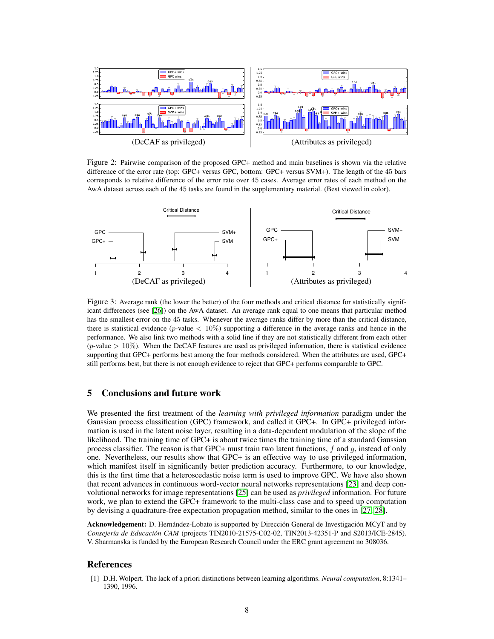

Figure 2: Pairwise comparison of the proposed GPC+ method and main baselines is shown via the relative difference of the error rate (top: GPC+ versus GPC, bottom: GPC+ versus SVM+). The length of the 45 bars corresponds to relative difference of the error rate over 45 cases. Average error rates of each method on the AwA dataset across each of the 45 tasks are found in the supplementary material. (Best viewed in color).



Figure 3: Average rank (the lower the better) of the four methods and critical distance for statistically significant differences (see [26]) on the AwA dataset. An average rank equal to one means that particular method has the smallest error on the 45 tasks. Whenever the average ranks differ by more than the critical distance, there is statistical evidence (p-value  $\langle 10\% \rangle$  supporting a difference in the average ranks and hence in the performance. We also link two methods with a solid line if they are not statistically different from each other (*p*-value  $> 10\%$ ). When the DeCAF features are used as privileged information, there is statistical evidence supporting that GPC+ performs best among the four methods considered. When the attributes are used, GPC+ still performs best, but there is not enough evidence to reject that GPC+ performs comparable to GPC.

#### 5 Conclusions and future work

We presented the first treatment of the *learning with privileged information* paradigm under the Gaussian process classification (GPC) framework, and called it GPC+. In GPC+ privileged information is used in the latent noise layer, resulting in a data-dependent modulation of the slope of the likelihood. The training time of GPC+ is about twice times the training time of a standard Gaussian process classifier. The reason is that GPC+ must train two latent functions,  $f$  and  $g$ , instead of only one. Nevertheless, our results show that GPC+ is an effective way to use privileged information, which manifest itself in significantly better prediction accuracy. Furthermore, to our knowledge, this is the first time that a heteroscedastic noise term is used to improve GPC. We have also shown that recent advances in continuous word-vector neural networks representations [23] and deep convolutional networks for image representations [25] can be used as *privileged* information. For future work, we plan to extend the GPC+ framework to the multi-class case and to speed up computation by devising a quadrature-free expectation propagation method, similar to the ones in [27, 28].

Acknowledgement: D. Hernández-Lobato is supported by Dirección General de Investigación MCyT and by *Consejer´ıa de Educacion CAM ´* (projects TIN2010-21575-C02-02, TIN2013-42351-P and S2013/ICE-2845). V. Sharmanska is funded by the European Research Council under the ERC grant agreement no 308036.

### References

[1] D.H. Wolpert. The lack of a priori distinctions between learning algorithms. *Neural computation*, 8:1341– 1390, 1996.